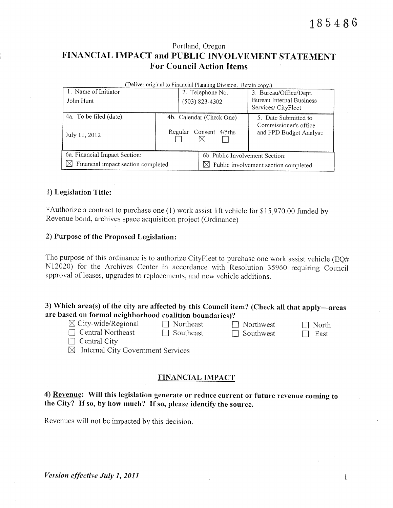## Portland, Oregon FINANCIAL IMPACT and PUBLIC INVOLVEMENT STATEMENT **For Council Action Items**

| (Deliver original to Financial Planning Division. Retain copy.) |                          |                        |                                                  |  |  |  |  |  |  |
|-----------------------------------------------------------------|--------------------------|------------------------|--------------------------------------------------|--|--|--|--|--|--|
| 1. Name of Initiator                                            |                          | 2. Telephone No.       | 3. Bureau/Office/Dept.                           |  |  |  |  |  |  |
| John Hunt                                                       |                          | (503) 823-4302         | Bureau Internal Business                         |  |  |  |  |  |  |
|                                                                 |                          |                        | Services/CityFleet                               |  |  |  |  |  |  |
| 4a. To be filed (date):                                         | 4b. Calendar (Check One) |                        | 5. Date Submitted to                             |  |  |  |  |  |  |
| July 11, 2012                                                   |                          | Regular Consent 4/5ths | Commissioner's office<br>and FPD Budget Analyst: |  |  |  |  |  |  |
| 6a. Financial Impact Section:                                   |                          |                        | 6b. Public Involvement Section:                  |  |  |  |  |  |  |
| Financial impact section completed<br>IХI                       |                          |                        | $\boxtimes$ Public involvement section completed |  |  |  |  |  |  |

#### 1) Legislation Title:

\*Authorize a contract to purchase one (1) work assist lift vehicle for \$15,970.00 funded by Revenue bond, archives space acquisition project (Ordinance)

### 2) Purpose of the Proposed Legislation:

The purpose of this ordinance is to authorize CityFleet to purchase one work assist vehicle (EQ# N12020) for the Archives Center in accordance with Resolution 35960 requiring Council approval of leases, upgrades to replacements, and new vehicle additions.

| 3) Which area(s) of the city are affected by this Council item? (Check all that apply—areas |  |
|---------------------------------------------------------------------------------------------|--|
| are based on formal neighborhood coalition boundaries)?                                     |  |

| $\boxtimes$ City-wide/Regional |
|--------------------------------|
| $\Box$ Central Northeast       |

 $\Box$  Northeast  $\Box$  Southeast  $\Box$  Northwest  $\Box$  Southwest

□ North  $\Box$  East

 $\Box$  Central City

 $\boxtimes$  Internal City Government Services

## FINANCIAL IMPACT

## 4) Revenue: Will this legislation generate or reduce current or future revenue coming to the City? If so, by how much? If so, please identify the source.

Revenues will not be impacted by this decision.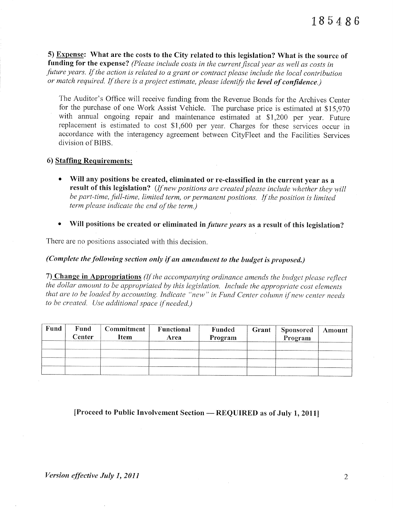5) Expense: What are the costs to the City related to this legislation? What is the source of funding for the expense? (Please include costs in the current fiscal year as well as costs in future years. If the action is related to a grant or contract please include the local contribution or match required. If there is a project estimate, please identify the level of confidence.)

The Auditor's Office will receive funding from the Revenue Bonds for the Archives Center for the purchase of one Work Assist Vehicle. The purchase price is estimated at \$15,970 with annual ongoing repair and maintenance estimated at \$1,200 per year. Future replacement is estimated to cost \$1,600 per year. Charges for these services occur in accordance with the interagency agreement between CityFleet and the Facilities Services division of BIBS.

### 6) Staffing Requirements:

- Will any positions be created, eliminated or re-classified in the current year as a result of this legislation? (If new positions are created please include whether they will be part-time, full-time, limited term, or permanent positions. If the position is limited term please indicate the end of the term.)
- Will positions be created or eliminated in *future years* as a result of this legislation?

There are no positions associated with this decision.

(Complete the following section only if an amendment to the budget is proposed.)

7) Change in Appropriations (If the accompanying ordinance amends the budget please reflect the dollar amount to be appropriated by this legislation. Include the appropriate cost elements that are to be loaded by accounting. Indicate "new" in Fund Center column if new center needs to be created. Use additional space if needed.)

| <b>Fund</b> | Fund<br>Center | <b>Commitment</b><br>Item | Functional<br>Area | Funded<br>Program | Grant | <b>Sponsored</b><br>Program | Amount |
|-------------|----------------|---------------------------|--------------------|-------------------|-------|-----------------------------|--------|
|             |                |                           |                    |                   |       |                             |        |
|             |                |                           |                    |                   |       |                             |        |

[Proceed to Public Involvement Section — REQUIRED as of July 1, 2011]